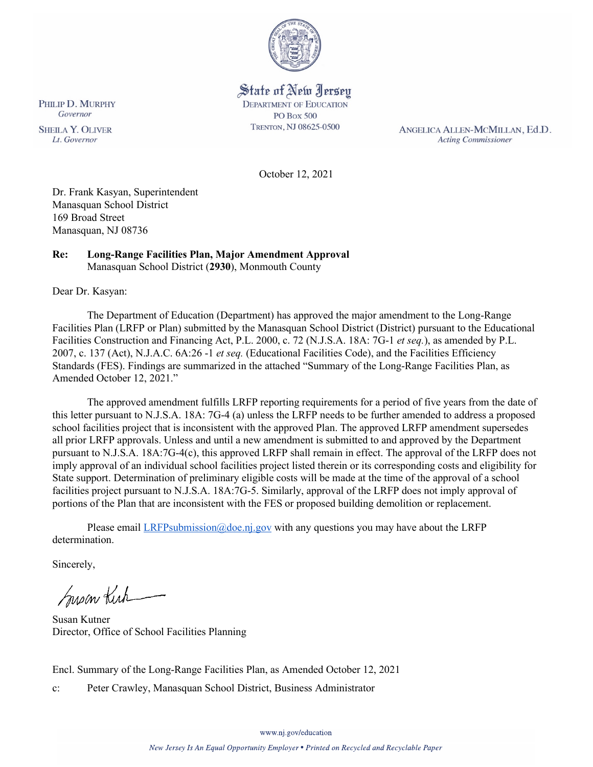

## State of New Jersey **DEPARTMENT OF EDUCATION PO Box 500**

TRENTON, NJ 08625-0500

ANGELICA ALLEN-MCMILLAN, Ed.D. **Acting Commissioner** 

October 12, 2021

Dr. Frank Kasyan, Superintendent Manasquan School District 169 Broad Street Manasquan, NJ 08736

#### **Re: Long-Range Facilities Plan, Major Amendment Approval**  Manasquan School District (**2930**), Monmouth County

Dear Dr. Kasyan:

The Department of Education (Department) has approved the major amendment to the Long-Range Facilities Plan (LRFP or Plan) submitted by the Manasquan School District (District) pursuant to the Educational Facilities Construction and Financing Act, P.L. 2000, c. 72 (N.J.S.A. 18A: 7G-1 *et seq.*), as amended by P.L. 2007, c. 137 (Act), N.J.A.C. 6A:26 -1 *et seq.* (Educational Facilities Code), and the Facilities Efficiency Standards (FES). Findings are summarized in the attached "Summary of the Long-Range Facilities Plan, as Amended October 12, 2021."

The approved amendment fulfills LRFP reporting requirements for a period of five years from the date of this letter pursuant to N.J.S.A. 18A: 7G-4 (a) unless the LRFP needs to be further amended to address a proposed school facilities project that is inconsistent with the approved Plan. The approved LRFP amendment supersedes all prior LRFP approvals. Unless and until a new amendment is submitted to and approved by the Department pursuant to N.J.S.A. 18A:7G-4(c), this approved LRFP shall remain in effect. The approval of the LRFP does not imply approval of an individual school facilities project listed therein or its corresponding costs and eligibility for State support. Determination of preliminary eligible costs will be made at the time of the approval of a school facilities project pursuant to N.J.S.A. 18A:7G-5. Similarly, approval of the LRFP does not imply approval of portions of the Plan that are inconsistent with the FES or proposed building demolition or replacement.

Please email  $LRFP submission@doe.ni.gov$  with any questions you may have about the LRFP determination.

Sincerely,

Susan Kich

Susan Kutner Director, Office of School Facilities Planning

Encl. Summary of the Long-Range Facilities Plan, as Amended October 12, 2021

c: Peter Crawley, Manasquan School District, Business Administrator

PHILIP D. MURPHY Governor

**SHEILA Y. OLIVER** Lt. Governor

www.nj.gov/education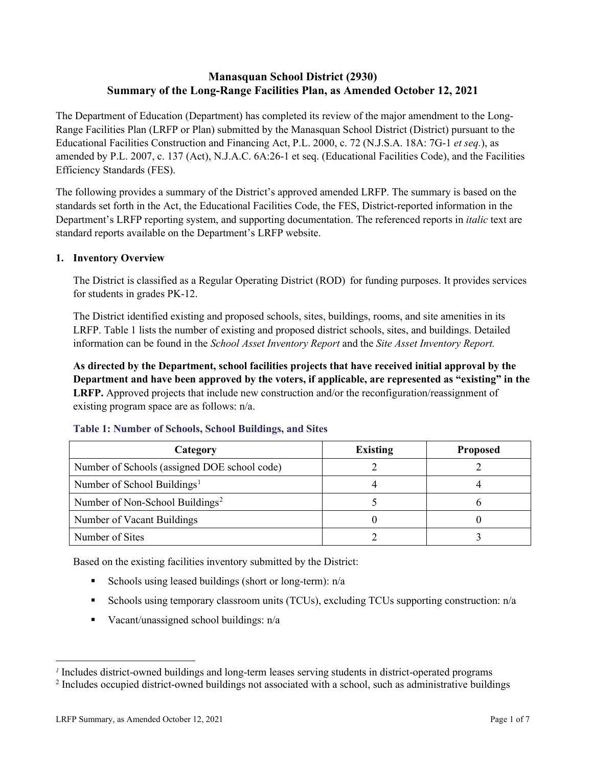## **Manasquan School District (2930) Summary of the Long-Range Facilities Plan, as Amended October 12, 2021**

The Department of Education (Department) has completed its review of the major amendment to the Long-Range Facilities Plan (LRFP or Plan) submitted by the Manasquan School District (District) pursuant to the Educational Facilities Construction and Financing Act, P.L. 2000, c. 72 (N.J.S.A. 18A: 7G-1 *et seq.*), as amended by P.L. 2007, c. 137 (Act), N.J.A.C. 6A:26-1 et seq. (Educational Facilities Code), and the Facilities Efficiency Standards (FES).

The following provides a summary of the District's approved amended LRFP. The summary is based on the standards set forth in the Act, the Educational Facilities Code, the FES, District-reported information in the Department's LRFP reporting system, and supporting documentation. The referenced reports in *italic* text are standard reports available on the Department's LRFP website.

### **1. Inventory Overview**

The District is classified as a Regular Operating District (ROD) for funding purposes. It provides services for students in grades PK-12.

The District identified existing and proposed schools, sites, buildings, rooms, and site amenities in its LRFP. Table 1 lists the number of existing and proposed district schools, sites, and buildings. Detailed information can be found in the *School Asset Inventory Report* and the *Site Asset Inventory Report.*

**As directed by the Department, school facilities projects that have received initial approval by the Department and have been approved by the voters, if applicable, are represented as "existing" in the LRFP.** Approved projects that include new construction and/or the reconfiguration/reassignment of existing program space are as follows: n/a.

| Category                                     | <b>Existing</b> | <b>Proposed</b> |
|----------------------------------------------|-----------------|-----------------|
| Number of Schools (assigned DOE school code) |                 |                 |
| Number of School Buildings <sup>1</sup>      |                 |                 |
| Number of Non-School Buildings <sup>2</sup>  |                 |                 |
| Number of Vacant Buildings                   |                 |                 |
| Number of Sites                              |                 |                 |

#### **Table 1: Number of Schools, School Buildings, and Sites**

Based on the existing facilities inventory submitted by the District:

- Schools using leased buildings (short or long-term):  $n/a$
- Schools using temporary classroom units (TCUs), excluding TCUs supporting construction: n/a
- Vacant/unassigned school buildings:  $n/a$

*<sup>1</sup>* Includes district-owned buildings and long-term leases serving students in district-operated programs

<sup>&</sup>lt;sup>2</sup> Includes occupied district-owned buildings not associated with a school, such as administrative buildings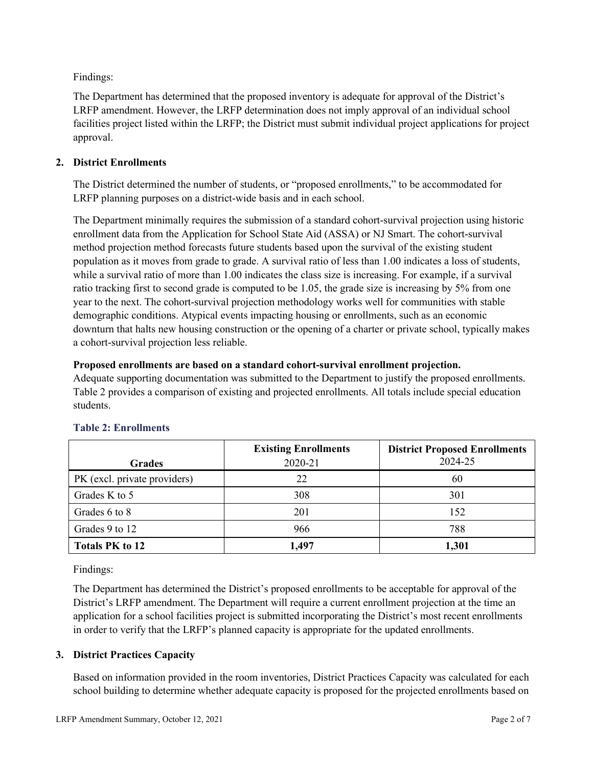Findings:

The Department has determined that the proposed inventory is adequate for approval of the District's LRFP amendment. However, the LRFP determination does not imply approval of an individual school facilities project listed within the LRFP; the District must submit individual project applications for project approval.

## **2. District Enrollments**

The District determined the number of students, or "proposed enrollments," to be accommodated for LRFP planning purposes on a district-wide basis and in each school.

The Department minimally requires the submission of a standard cohort-survival projection using historic enrollment data from the Application for School State Aid (ASSA) or NJ Smart. The cohort-survival method projection method forecasts future students based upon the survival of the existing student population as it moves from grade to grade. A survival ratio of less than 1.00 indicates a loss of students, while a survival ratio of more than 1.00 indicates the class size is increasing. For example, if a survival ratio tracking first to second grade is computed to be 1.05, the grade size is increasing by 5% from one year to the next. The cohort-survival projection methodology works well for communities with stable demographic conditions. Atypical events impacting housing or enrollments, such as an economic downturn that halts new housing construction or the opening of a charter or private school, typically makes a cohort-survival projection less reliable.

### **Proposed enrollments are based on a standard cohort-survival enrollment projection.**

Adequate supporting documentation was submitted to the Department to justify the proposed enrollments. Table 2 provides a comparison of existing and projected enrollments. All totals include special education students.

|                              | <b>Existing Enrollments</b> | <b>District Proposed Enrollments</b> |
|------------------------------|-----------------------------|--------------------------------------|
| <b>Grades</b>                | 2020-21                     | 2024-25                              |
| PK (excl. private providers) | 22                          | 60                                   |
| Grades K to 5                | 308                         | 301                                  |
| Grades 6 to 8                | 201                         | 152                                  |
| Grades 9 to 12               | 966                         | 788                                  |
| <b>Totals PK to 12</b>       | 1,497                       | 1,301                                |

# **Table 2: Enrollments**

Findings:

The Department has determined the District's proposed enrollments to be acceptable for approval of the District's LRFP amendment. The Department will require a current enrollment projection at the time an application for a school facilities project is submitted incorporating the District's most recent enrollments in order to verify that the LRFP's planned capacity is appropriate for the updated enrollments.

### **3. District Practices Capacity**

Based on information provided in the room inventories, District Practices Capacity was calculated for each school building to determine whether adequate capacity is proposed for the projected enrollments based on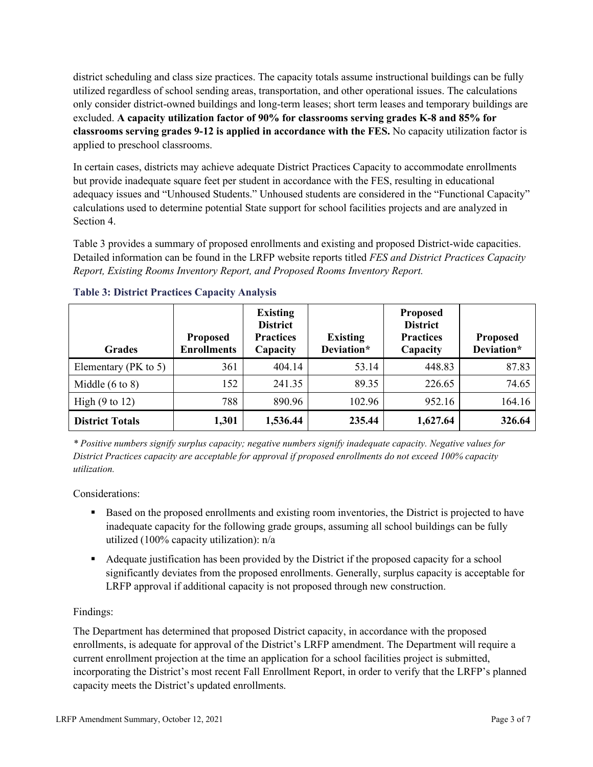district scheduling and class size practices. The capacity totals assume instructional buildings can be fully utilized regardless of school sending areas, transportation, and other operational issues. The calculations only consider district-owned buildings and long-term leases; short term leases and temporary buildings are excluded. **A capacity utilization factor of 90% for classrooms serving grades K-8 and 85% for classrooms serving grades 9-12 is applied in accordance with the FES.** No capacity utilization factor is applied to preschool classrooms.

In certain cases, districts may achieve adequate District Practices Capacity to accommodate enrollments but provide inadequate square feet per student in accordance with the FES, resulting in educational adequacy issues and "Unhoused Students." Unhoused students are considered in the "Functional Capacity" calculations used to determine potential State support for school facilities projects and are analyzed in Section 4.

Table 3 provides a summary of proposed enrollments and existing and proposed District-wide capacities. Detailed information can be found in the LRFP website reports titled *FES and District Practices Capacity Report, Existing Rooms Inventory Report, and Proposed Rooms Inventory Report.*

| <b>Grades</b>              | <b>Proposed</b><br><b>Enrollments</b> | <b>Existing</b><br><b>District</b><br><b>Practices</b><br>Capacity | <b>Existing</b><br>Deviation* | <b>Proposed</b><br><b>District</b><br><b>Practices</b><br>Capacity | <b>Proposed</b><br>Deviation* |
|----------------------------|---------------------------------------|--------------------------------------------------------------------|-------------------------------|--------------------------------------------------------------------|-------------------------------|
| Elementary ( $PK$ to 5)    | 361                                   | 404.14                                                             | 53.14                         | 448.83                                                             | 87.83                         |
| Middle $(6 \text{ to } 8)$ | 152                                   | 241.35                                                             | 89.35                         | 226.65                                                             | 74.65                         |
| High $(9 \text{ to } 12)$  | 788                                   | 890.96                                                             | 102.96                        | 952.16                                                             | 164.16                        |
| <b>District Totals</b>     | 1,301                                 | 1,536.44                                                           | 235.44                        | 1,627.64                                                           | 326.64                        |

### **Table 3: District Practices Capacity Analysis**

*\* Positive numbers signify surplus capacity; negative numbers signify inadequate capacity. Negative values for District Practices capacity are acceptable for approval if proposed enrollments do not exceed 100% capacity utilization.*

Considerations:

- Based on the proposed enrollments and existing room inventories, the District is projected to have inadequate capacity for the following grade groups, assuming all school buildings can be fully utilized (100% capacity utilization): n/a
- Adequate justification has been provided by the District if the proposed capacity for a school significantly deviates from the proposed enrollments. Generally, surplus capacity is acceptable for LRFP approval if additional capacity is not proposed through new construction.

### Findings:

The Department has determined that proposed District capacity, in accordance with the proposed enrollments, is adequate for approval of the District's LRFP amendment. The Department will require a current enrollment projection at the time an application for a school facilities project is submitted, incorporating the District's most recent Fall Enrollment Report, in order to verify that the LRFP's planned capacity meets the District's updated enrollments.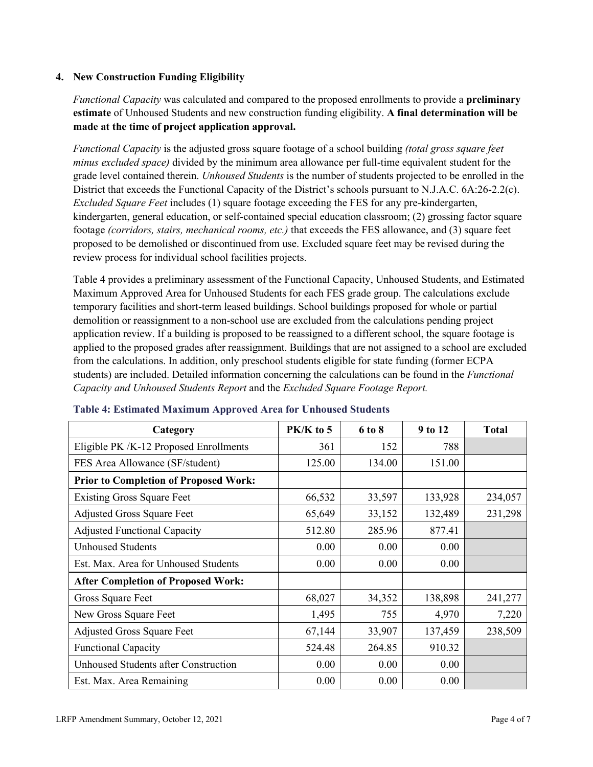#### **4. New Construction Funding Eligibility**

*Functional Capacity* was calculated and compared to the proposed enrollments to provide a **preliminary estimate** of Unhoused Students and new construction funding eligibility. **A final determination will be made at the time of project application approval.**

*Functional Capacity* is the adjusted gross square footage of a school building *(total gross square feet minus excluded space)* divided by the minimum area allowance per full-time equivalent student for the grade level contained therein. *Unhoused Students* is the number of students projected to be enrolled in the District that exceeds the Functional Capacity of the District's schools pursuant to N.J.A.C. 6A:26-2.2(c). *Excluded Square Feet* includes (1) square footage exceeding the FES for any pre-kindergarten, kindergarten, general education, or self-contained special education classroom; (2) grossing factor square footage *(corridors, stairs, mechanical rooms, etc.)* that exceeds the FES allowance, and (3) square feet proposed to be demolished or discontinued from use. Excluded square feet may be revised during the review process for individual school facilities projects.

Table 4 provides a preliminary assessment of the Functional Capacity, Unhoused Students, and Estimated Maximum Approved Area for Unhoused Students for each FES grade group. The calculations exclude temporary facilities and short-term leased buildings. School buildings proposed for whole or partial demolition or reassignment to a non-school use are excluded from the calculations pending project application review. If a building is proposed to be reassigned to a different school, the square footage is applied to the proposed grades after reassignment. Buildings that are not assigned to a school are excluded from the calculations. In addition, only preschool students eligible for state funding (former ECPA students) are included. Detailed information concerning the calculations can be found in the *Functional Capacity and Unhoused Students Report* and the *Excluded Square Footage Report.*

| Category                                     | PK/K to 5 | 6 to 8 | 9 to 12 | <b>Total</b> |
|----------------------------------------------|-----------|--------|---------|--------------|
| Eligible PK /K-12 Proposed Enrollments       | 361       | 152    | 788     |              |
| FES Area Allowance (SF/student)              | 125.00    | 134.00 | 151.00  |              |
| <b>Prior to Completion of Proposed Work:</b> |           |        |         |              |
| <b>Existing Gross Square Feet</b>            | 66,532    | 33,597 | 133,928 | 234,057      |
| <b>Adjusted Gross Square Feet</b>            | 65,649    | 33,152 | 132,489 | 231,298      |
| <b>Adjusted Functional Capacity</b>          | 512.80    | 285.96 | 877.41  |              |
| <b>Unhoused Students</b>                     | 0.00      | 0.00   | 0.00    |              |
| Est. Max. Area for Unhoused Students         | 0.00      | 0.00   | 0.00    |              |
| <b>After Completion of Proposed Work:</b>    |           |        |         |              |
| Gross Square Feet                            | 68,027    | 34,352 | 138,898 | 241,277      |
| New Gross Square Feet                        | 1,495     | 755    | 4,970   | 7,220        |
| <b>Adjusted Gross Square Feet</b>            | 67,144    | 33,907 | 137,459 | 238,509      |
| <b>Functional Capacity</b>                   | 524.48    | 264.85 | 910.32  |              |
| Unhoused Students after Construction         | 0.00      | 0.00   | 0.00    |              |
| Est. Max. Area Remaining                     | 0.00      | 0.00   | 0.00    |              |

#### **Table 4: Estimated Maximum Approved Area for Unhoused Students**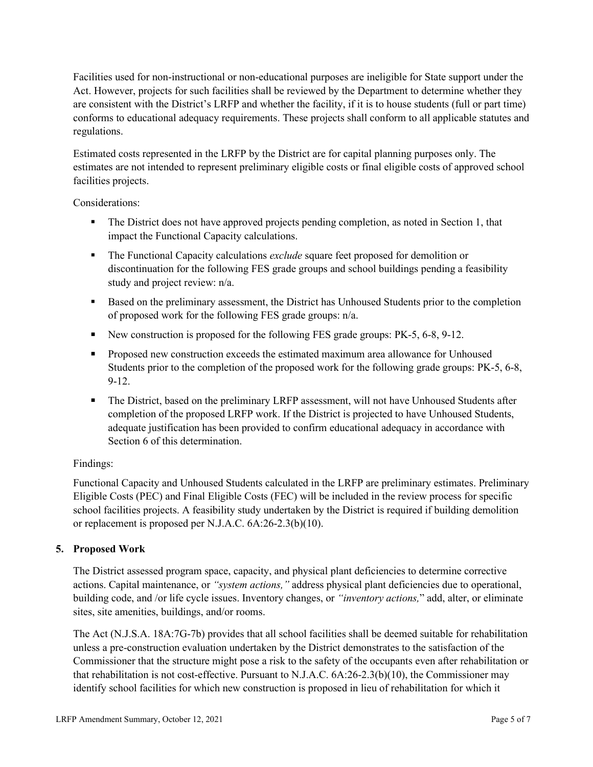Facilities used for non-instructional or non-educational purposes are ineligible for State support under the Act. However, projects for such facilities shall be reviewed by the Department to determine whether they are consistent with the District's LRFP and whether the facility, if it is to house students (full or part time) conforms to educational adequacy requirements. These projects shall conform to all applicable statutes and regulations.

Estimated costs represented in the LRFP by the District are for capital planning purposes only. The estimates are not intended to represent preliminary eligible costs or final eligible costs of approved school facilities projects.

Considerations:

- The District does not have approved projects pending completion, as noted in Section 1, that impact the Functional Capacity calculations.
- **The Functional Capacity calculations** *exclude* square feet proposed for demolition or discontinuation for the following FES grade groups and school buildings pending a feasibility study and project review: n/a.
- Based on the preliminary assessment, the District has Unhoused Students prior to the completion of proposed work for the following FES grade groups: n/a.
- New construction is proposed for the following FES grade groups: PK-5, 6-8, 9-12.
- Proposed new construction exceeds the estimated maximum area allowance for Unhoused Students prior to the completion of the proposed work for the following grade groups: PK-5, 6-8, 9-12.
- The District, based on the preliminary LRFP assessment, will not have Unhoused Students after completion of the proposed LRFP work. If the District is projected to have Unhoused Students, adequate justification has been provided to confirm educational adequacy in accordance with Section 6 of this determination.

### Findings:

Functional Capacity and Unhoused Students calculated in the LRFP are preliminary estimates. Preliminary Eligible Costs (PEC) and Final Eligible Costs (FEC) will be included in the review process for specific school facilities projects. A feasibility study undertaken by the District is required if building demolition or replacement is proposed per N.J.A.C. 6A:26-2.3(b)(10).

### **5. Proposed Work**

The District assessed program space, capacity, and physical plant deficiencies to determine corrective actions. Capital maintenance, or *"system actions,"* address physical plant deficiencies due to operational, building code, and /or life cycle issues. Inventory changes, or *"inventory actions,*" add, alter, or eliminate sites, site amenities, buildings, and/or rooms.

The Act (N.J.S.A. 18A:7G-7b) provides that all school facilities shall be deemed suitable for rehabilitation unless a pre-construction evaluation undertaken by the District demonstrates to the satisfaction of the Commissioner that the structure might pose a risk to the safety of the occupants even after rehabilitation or that rehabilitation is not cost-effective. Pursuant to N.J.A.C. 6A:26-2.3(b)(10), the Commissioner may identify school facilities for which new construction is proposed in lieu of rehabilitation for which it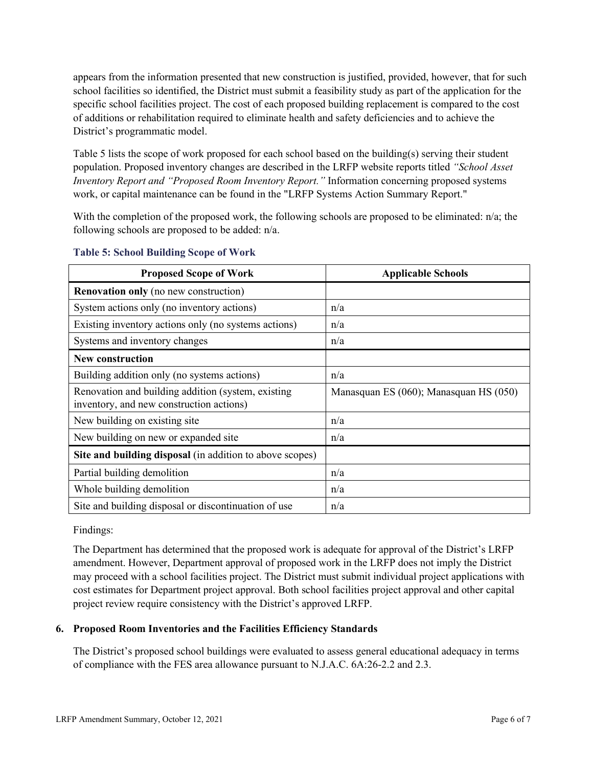appears from the information presented that new construction is justified, provided, however, that for such school facilities so identified, the District must submit a feasibility study as part of the application for the specific school facilities project. The cost of each proposed building replacement is compared to the cost of additions or rehabilitation required to eliminate health and safety deficiencies and to achieve the District's programmatic model.

Table 5 lists the scope of work proposed for each school based on the building(s) serving their student population. Proposed inventory changes are described in the LRFP website reports titled *"School Asset Inventory Report and "Proposed Room Inventory Report."* Information concerning proposed systems work, or capital maintenance can be found in the "LRFP Systems Action Summary Report."

With the completion of the proposed work, the following schools are proposed to be eliminated: n/a; the following schools are proposed to be added: n/a.

| <b>Proposed Scope of Work</b>                                                                  | <b>Applicable Schools</b>              |
|------------------------------------------------------------------------------------------------|----------------------------------------|
| <b>Renovation only</b> (no new construction)                                                   |                                        |
| System actions only (no inventory actions)                                                     | n/a                                    |
| Existing inventory actions only (no systems actions)                                           | n/a                                    |
| Systems and inventory changes                                                                  | n/a                                    |
| <b>New construction</b>                                                                        |                                        |
| Building addition only (no systems actions)                                                    | n/a                                    |
| Renovation and building addition (system, existing<br>inventory, and new construction actions) | Manasquan ES (060); Manasquan HS (050) |
| New building on existing site                                                                  | n/a                                    |
| New building on new or expanded site                                                           | n/a                                    |
| Site and building disposal (in addition to above scopes)                                       |                                        |
| Partial building demolition                                                                    | n/a                                    |
| Whole building demolition                                                                      | n/a                                    |
| Site and building disposal or discontinuation of use                                           | n/a                                    |

#### **Table 5: School Building Scope of Work**

Findings:

The Department has determined that the proposed work is adequate for approval of the District's LRFP amendment. However, Department approval of proposed work in the LRFP does not imply the District may proceed with a school facilities project. The District must submit individual project applications with cost estimates for Department project approval. Both school facilities project approval and other capital project review require consistency with the District's approved LRFP.

### **6. Proposed Room Inventories and the Facilities Efficiency Standards**

The District's proposed school buildings were evaluated to assess general educational adequacy in terms of compliance with the FES area allowance pursuant to N.J.A.C. 6A:26-2.2 and 2.3.